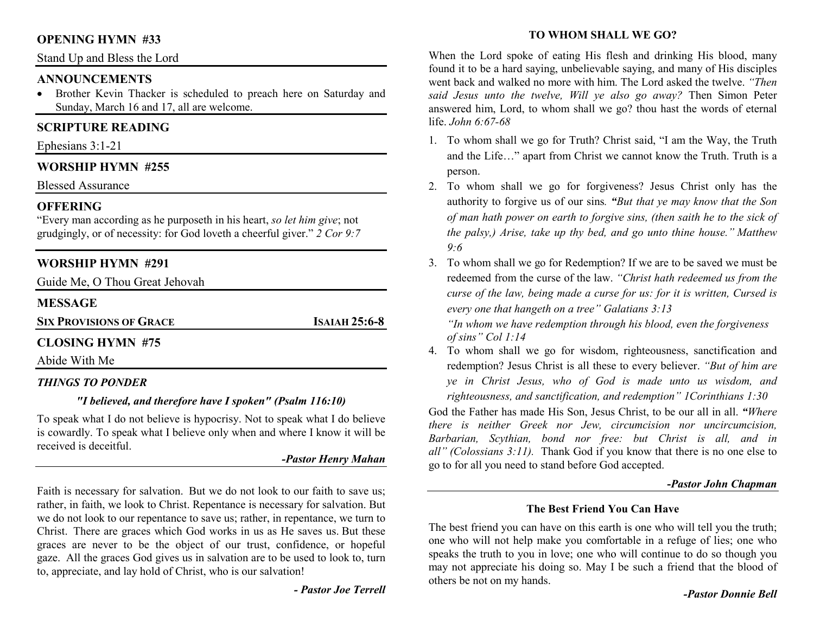#### **OPENING HYMN #33**

Stand Up and Bless the Lord

#### **ANNOUNCEMENTS**

 Brother Kevin Thacker is scheduled to preach here on Saturday and •Sunday, March 16 and 17, all are welcome.

# **SCRIPTURE READING**

Ephesians 3:1-21

## **WORSHIP HYMN #255**

Blessed Assurance

## **OFFERING**

 "Every man according as he purposeth in his heart, *so let him give*; not grudgingly, or of necessity: for God loveth a cheerful giver." *2 Cor 9:7*

# **WORSHIP HYMN #291**

Guide Me, O Thou Great Jehovah

# **MESSAGE**

**SIX PROVISIONS OF GRACE**

**<sup>I</sup>SAIAH 25:6-8** 

# **CLOSING HYMN #75**

Abide With Me

## *THINGS TO PONDER*

## *"I believed, and therefore have I spoken" (Psalm 116:10)*

To speak what I do not believe is hypocrisy. Not to speak what I do believe is cowardly. To speak what I believe only when and where I know it will be received is deceitful.

#### *-Pastor Henry Mahan*

Faith is necessary for salvation. But we do not look to our faith to save us; rather, in faith, we look to Christ. Repentance is necessary for salvation. But we do not look to our repentance to save us; rather, in repentance, we turn to Christ. There are graces which God works in us as He saves us. But these graces are never to be the object of our trust, confidence, or hopeful gaze. All the graces God gives us in salvation are to be used to look to, turn to, appreciate, and lay hold of Christ, who is our salvation!

*- Pastor Joe Terrell*

# **TO WHOM SHALL WE GO?**

When the Lord spoke of eating His flesh and drinking His blood, many found it to be a hard saying, unbelievable saying, and many of His disciples went back and walked no more with him. The Lord asked the twelve. *"Then said Jesus unto the twelve, Will ye also go away?* Then Simon Peter answered him, Lord, to whom shall we go? thou hast the words of eternal life. *John 6:67-68*

- 1. To whom shall we go for Truth? Christ said, "I am the Way, the Truth and the Life…" apart from Christ we cannot know the Truth. Truth is a person.
- 2. To whom shall we go for forgiveness? Jesus Christ only has the authority to forgive us of our sins*. "But that ye may know that the Son of man hath power on earth to forgive sins, (then saith he to the sick of the palsy,) Arise, take up thy bed, and go unto thine house." Matthew 9:6*
- 3. To whom shall we go for Redemption? If we are to be saved we must be redeemed from the curse of the law. *"Christ hath redeemed us from the curse of the law, being made a curse for us: for it is written, Cursed is every one that hangeth on a tree" Galatians 3:13*

 *"In whom we have redemption through his blood, even the forgiveness of sins" Col 1:14* 

 4. To whom shall we go for wisdom, righteousness, sanctification and redemption? Jesus Christ is all these to every believer. *"But of him are ye in Christ Jesus, who of God is made unto us wisdom, and righteousness, and sanctification, and redemption" 1Corinthians 1:30*

 God the Father has made His Son, Jesus Christ, to be our all in all. *"Where there is neither Greek nor Jew, circumcision nor uncircumcision, Barbarian, Scythian, bond nor free: but Christ is all, and in all" (Colossians 3:11).* Thank God if you know that there is no one else to go to for all you need to stand before God accepted.

#### **-***Pastor John Chapman*

#### **The Best Friend You Can Have**

The best friend you can have on this earth is one who will tell you the truth; one who will not help make you comfortable in a refuge of lies; one who speaks the truth to you in love; one who will continue to do so though you may not appreciate his doing so. May I be such a friend that the blood of others be not on my hands.